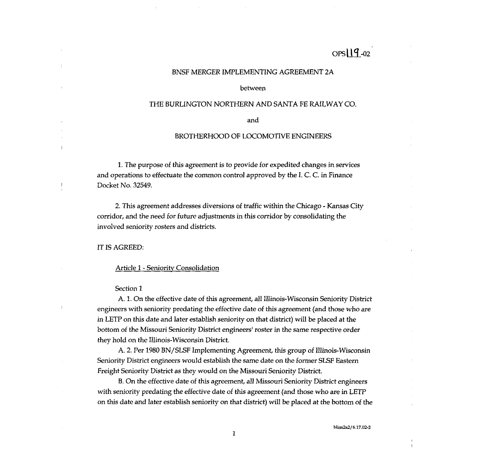# OPS 19.02

# BNSF MERGER IMPLEMENTING AGREEMENT 2A

between

# THE BURLINGTON NORTHERN AND SANTA FE RAILWAY CO.

and

# BROTHERHOOD OF LOCOMOTIVE ENGINEERS

1. The purpose of this agreement is to provide for expedited changes in services and operations to effectuate the common control approved by the I. C. C. in Finance Docket No. 32549.

2. This agreement addresses diversions of traffic within the Chicago - Kansas City corridor, and the need for future adjustments in this corridor by consolidating the involved seniority rosters and districts.

iT iS AGREED:

÷.

#### **Article 1 - Seniority Consolidation**

# Section 1

A. 1. On the effective date of this agreement, all Illinois-Wisconsin Seniority District engineers with seniority predating the effective date of this agreement (and those who are in LETP on this date and later establish seniority on that district) will be placed at the bottom of the Missouri Seniority District engineers' roster in the same respective order they hold on the Illinois-Wisconsin District.

A. 2. Per 1980 RN/SLSF Implementing Agreement, this group of illinois-Wisconsin Seniority District engineers would establish the same date on the former SLSF Eastern Freight Seniority District as they would on the Missouri Seniority District.

13. On the effective date of this agreement, all Missouri Seniority District engineers with seniority predating the effective date of this agreement (and those who are in LETP on this date and later establish seniority on that district) will be placed at the bottom of the

bIim2a2f6.17.02-2

 $\overline{\phantom{a}}$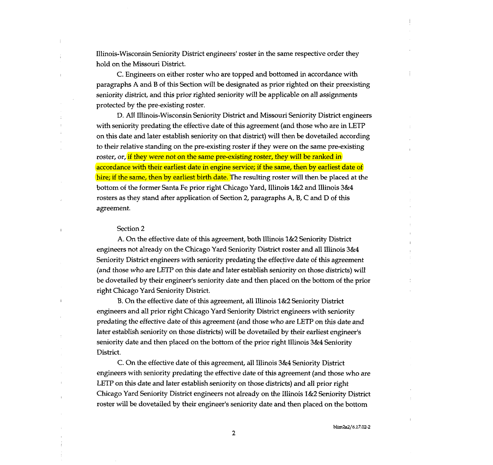Illinois-Wisconsin Seniority District engineers' roster in the same respective order they hold on the Missouri District.

C. Engineers on either roster who are topped and bottomed in accordance with paragraphs A and B of this Section will be designated as prior righted on their preexisting seniority district, and this prior righted seniority will be applicable on all assignments protected by the pre-existing roster.

D. Al! Illinois-Wisconsin Seniority District and Missouri Seniority District engineers with seniority predating the effective date of this agreement (and those who are in LETP on this date and later establish seniority on that district) will then be dovetailed according to their relative standing on the pre-existing roster if they were on the same pre-existing roster, or, if they were not on the same pre-existing roster, they will be ranked in accordance with their earliest date in engine service; if the same, then by earliest date of hire; if the same, then by earliest birth date. The resulting roster will then be placed at the bottom of the former Santa Fe prior right Chicago Yard, Illinois 1&2 and Illinois 3&4 rosters as they stand after application of Section 2, paragraphs  $A$ ,  $B$ ,  $C$  and  $D$  of this agreement.

#### Section 2

A. On the effective date of this agreement, both Illinois 1&2 Seniority District engineers not already on the Chicago Yard Seniority District roster and all Illinois 3&4 Seniority District engineers with seniority predating the effective date of this agreement (and those who are LETP on this date and later establish seniority on those districts) will be dovetailed by their engineer's seniority date and then placed on the bottom of the prior right Chicago Yard Seniority District.

B. On the effective date of this agreement, all Illinois 1&2 Seniority District engineers and all prior right Chicago Yard Seniority District engineers with seniority predating the effective date of this agreement (and those who are LETP on this date and later establish seniority on those districts) will be dovetailed by their earliest engineer's seniority date and then placed on the bottom of the prior right Illinois 3&4 Seniority District.

C. On the effective date of this agreement, all Illinois 3&4 Seniority District engineers with seniority predating the effective date of this agreement (and those who are LETP on this date and later establish seniority on those districts) and all prior right Chicago Yard Seniority District engineers not already on the Illinois 1&2 Seniority District roster will be dovetailed by their engineer's seniority date and then placed on the bottom

blim2a2/6.l 7.02-2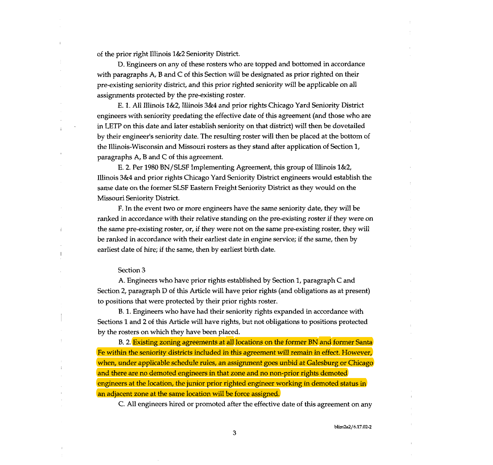of the prior right Illinois 1&2 Seniority District.

D. Engineers on any of these rosters who are topped and bottomed in accordance with paragraphs A, B and C of this Section will be designated as prior righted on their pre-existing seniority district, and this prior righted seniority will be applicable on all assignments protected by the pre-existing roster.

F. 1. All Illinois l&2, illinois 3&4 and prior rights Chicago Yard Seniority District engineers with seniority predating the effective date of this agreement (and those who are in LETP on this date and later establish seniority on that district) will then be dovetailed by their engineer's seniority date. The resulting roster will then be placed at the bottom of the Illinois-Wisconsin and Missouri rosters as they stand after application of Section 1, paragraphs  $A$ ,  $B$  and  $C$  of this agreement.

E. 2. Per 1980 BN/SLSF implementing Agreement, this group of Illinois 1&2, Illinois 3&4 and prior rights Chicago Yard Seniority District engineers would establish the same date on the former SLSF Eastern Freight Seniority District as they would on the Missouri Seniority District.

F. In the event two or more engineers have the same seniority date, they will be ranked in accordance with their relative standing on the pre-existing roster if they were on the same pre-existing roster, or, if they were not on the same pre-existing roster, they will be ranked in accordance with their earliest date in engine service; if the same, then by earliest date of hire; if the same, then by earliest birth date.

#### Section 3

A. Engineers who have prior rights established by Section 1, paragraph C and Section 2, paragraph D of this Article will have prior rights (and obligations as at present) to positions that were protected by their prior rights roster,

B. 1. Engineers who have had their seniority rights expanded in accordance with Sections 1 and 2 of this Article will have rights, but not obligations to positions protected by the rosters on which they have been placed.

B. 2. Existing zoning agreements at all locations on the former BN and former Santa Fe within the seniority districts included in this agreement will remain in effect. However, when, under applicable schedule rules, an assignment goes unbid at Galesburg or Chicago and there are no demoted engineers in that zone and no non-prior rights demoted engineers at the location, the junior prior righted engineer working in demoted status in an adjacent zone at the same location will be force assigned.

C. All engineers hired or promoted after the effective date of this agreement on any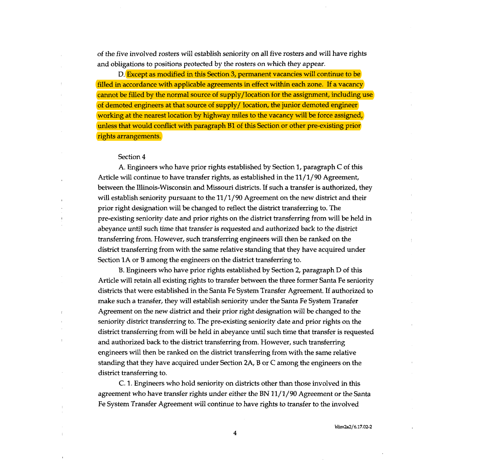of the five involved rosters will establish seniority on all five rosters and will have rights and obligations to positions protected by the rosters on which they appear.

D. Except as modified in this Section 3, permanent vacancies will continue to be filled in accordance with applicable agreements in effect within each zone. If a vacancy cannot be filled by the normal source of supply/location for the assignment, including use of demoted engineers at that source of supply/location, the junior demoted engineer working at the nearest location by highway miles to the vacancy will be force assigned, unless that would conflict with paragraph B1 of this Section or other pre-existing prior rights arrangements.

# Section 4

A. Engineers who have prior rights established by Section 1, paragraph C of this Article will continue to have transfer rights, as established in the  $11/1/90$  Agreement, between the Illinois-Wisconsin and Missouri districts. If such a transfer is authorized, they will establish seniority pursuant to the 11/1/90 Agreement on the new district and their prior right designation will be changed to reflect the district transferring to. The pre-existing seniority date and prior rights on the district transferring from will be held in abeyance until such time that transfer is requested and authorized back to the district transferring from. However, such transferring engineers will thenbe ranked on the district transferring from with the same relative standing that they have acquired under Section IA or B among the engineers on the district transferring to.

B. Engineers who have prior rights established by Section 2, paragraph D of this Article will retain all existing rights to transfer between the three former Santa Fe seniority districts that were established in the Santa Fe System Transfer Agreement. If authorized to make such a transfer, they will establish seniority under the Santa Fe System Transfer Agreement on the new district and their prior right designation will be changed to the seniority district transferring to. The pre-existing seniority date and prior rights on the district transferring from will be held in abeyance until such time that transfer is requested and authorized back to the district transferring from. However, such transferring engineers will then be ranked on the district transferring from with the same relative standing that they have acquired under Section 2A, B or C among the engineers on the district transferring to.

C. 1. Engineers who hold seniority on districts other than those involved in this agreement who have transfer rights under either the BN 11/1/90 Agreement or the Santa Fe System Transfer Agreement will continue to have rights to transfer to the involved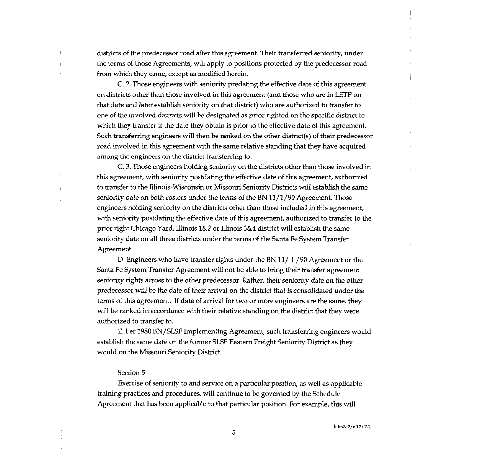districts of the predecessor road after this agreement. Their transferred seniority, under the terms of those Agreements, will apply to positions protected by the predecessor road from which they came, except as modified herein.

C. 2. Those engineers with seniority predating the effective date of this agreement on districts other than those involved in this agreement (and those who are in LETP on that date and later establish seniority on that district) who are authorized to transfer to one of the involved districts will be designated as prior righted on the specific district to which they transfer if the date they obtain is prior to the effective date of this agreement. Such transferring engineers will then be ranked on the other district(s) of their predecessor road involved in this agreement with the same relative standing that they have acquired among the engineers on the district transferring to.

C. 3. Those engineers holding seniority on the districts other than those involved in this agreement, with seniority postdating the effective date of this agreement, authorized to transfer to the Illinois-Wisconsin or Missouri Seniority Districts will establish the same seniority date on both rosters under the terms of the BN 11/1/90 Agreement. Those engineers holding seniority on the districts other than those included in this agreement, with seniority postdating the effective date of this agreement, authorized to transfer to the prior right Chicago Yard, Illinois 1&2 or Illinois 3&4 district will establish the same seniority date on all three districts under the terms of the Santa Fe System Transfer Agreement.

D. Engineers who have transfer rights under the BN 11/ <sup>1</sup> /90 Agreement or the Santa Fe System Transfer Agreement will not be able to bring their transfer agreement seniority rights across to the other predecessor. Rather, their seniority date on the other predecessor will be the date of their arrival on the district that is consolidated under the terms of this agreement. If date of arrival for two or more engineers are the same, they will be ranked in accordance with their relative standing on the district that they were authorized to transfer to.

E. Per 1980 BN/SLSF Implementing Agreement, such transferring engineers would establish the same date on the former SLSF Eastern Freight Seniority District as they would on the Missouri Seniority District.

#### Section 5

Exercise of seniority to and service on a particular position, as well as applicable training practices and procedures, will continue to be governed by the Schedule Agreement that has been applicable to that particular position. For example, this will

blim2a2/6.17.02-2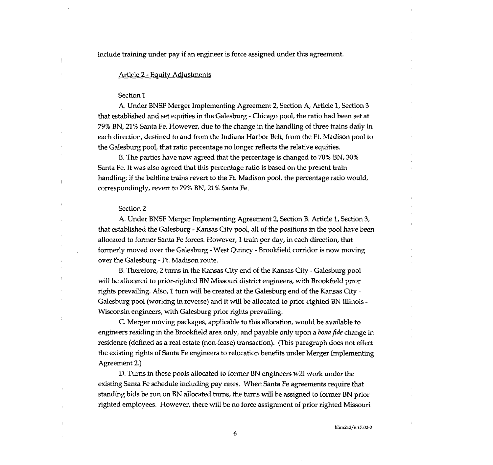include training under pay if an engineer is force assigned under this agreement.

# Article 2 - Equity Adjustments

#### Section I

A. Under BNSF Merger Implementing Agreement 2, Section A, Article 1, Section <sup>3</sup> that established and set equities in the Galesburg - Chicago pool, the ratio had been set at 79% BN, 21% Santa Fe. However, due to the change in the handling of three trains daily in each direction, destined to and from the Indiana Harbor Belt, from the Ft. Madison pool to the Galesburg pool, that ratio percentage no longer reflects the relative equities.

B. The parties have now agreed that the percentage is changed to 70% BN, 30% Santa Fe. It was also agreed that this percentage ratio is based on the present train handling; if the beltline trains revert to the Ft. Madison pool, the percentage ratio would, correspondingly, revert to 79% BN, 21% Santa Fe.

#### Section 2

A. Under BNSF Merger Implementing Agreement 2, Section B. Article 1, Section 3, that established the Galesburg - Kansas City pool, all of the positions in the pool havebeen allocated to former Santa Fe forces. However, <sup>1</sup> train per day, in each direction, that formerly moved over the Galesburg - West Quincy - Brookfield corridor is now moving over the Galesburg - Ft. Madison route.

B. Therefore, 2 turns in the Kansas City end of the Kansas City - Galesburg pool will be allocated to prior-righted BN Missouri district engineers, with Brookfield prior rights prevailing. Also, 1 turn will be created at the Galesburg end of the Kansas City - Galesburg pool (working in reverse) and it will be allocated to prior-righted BN Illinois - Wisconsin engineers, with Galesburg prior rights prevailing.

C. Merger moving packages, applicable to this allocation, would be available to engineers residing in the Brookfield area only, and payable only upon a bona fide change in residence (defined as a real estate (non-lease) transaction). (This paragraph does not effect the existing rights of Santa Fe engineers to relocation benefits under Merger Implementing Agreement 2.)

D. Turns in these pools allocated to former BN engineers will work under the existing Santa Fe schedule including pay rates. When Santa Fe agreements require that standing bids be run on BN allocated turns, the turns will be assigned to former BN prior righted employees. However, there will be no force assignment of prior righted Missouri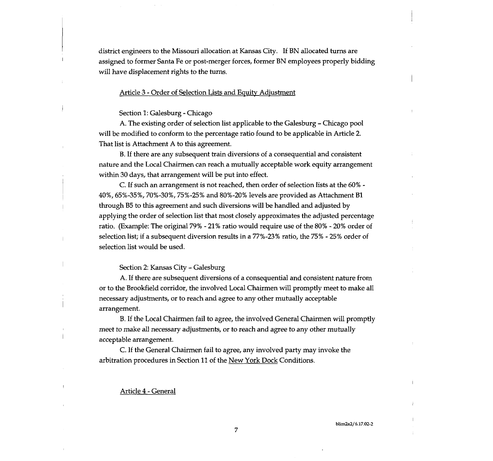district engineers to the Missouri allocation at Kansas City. If BN allocated turns are assigned to former Santa Fe or post-merger forces, former BN employees properly bidding will have displacement rights to the turns.

# Article 3 - Order of Selection Lists and Equity Adjustment

# Section 1: Galesburg - Chicago

A. The existing order of selection list applicable to the Galesburg — Chicago pool will be modified to conform to the percentage ratio found to be applicable in Article 2. That list is Attachment A to this agreement.

B. If there are any subsequent train diversions of a consequential and consistent nature and the Local Chairmen can reach a mutually acceptable work equity arrangement within 30 days, that arrangement will be put into effect.

C. If such an arrangement is not reached, then order of selection lists at the 60% - 40%, 65%-35%, 70%-30%, 75%-25% and 80%-20% levels are provided as Attachment Bl through B5 to this agreement and such diversions will be handled and adjusted by applying the order of selection list that most closely approximates the adjusted percentage ratio. (Example: The original 79% -21% ratio would require use of the 80% - 20% order of selection list; if a subsequent diversion results in a 77%-23% ratio, the 75% - 25% order of selection list would be used.

# Section 2: Kansas City - Galesburg

A. If there are subsequent diversions of a consequential and consistent nature from or to the Brookfield corridor, the involved Local Chairmen will promptly meet to make all necessary adjustments, or to reach and agree to any other mutually acceptable arrangement.

B. If the Local Chairmen fail to agree, the involved General Chairmen will promptly meet to make all necessary adjustments, or to reach and agree to any other mutually acceptable arrangement.

C. If the General Chairmen fail to agree, any involved party may invoke the arbitration procedures in Section <sup>11</sup> of the New York Dock Conditions.

# Article 4 -General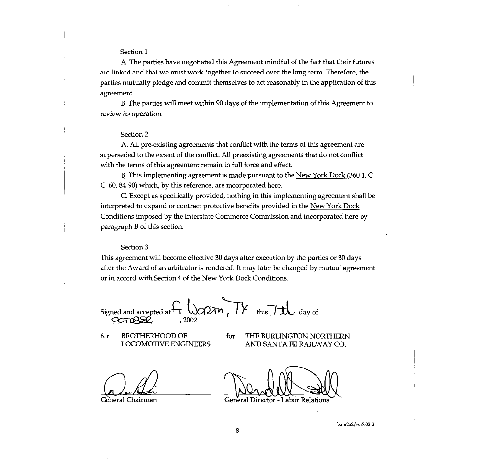# Section 1

A. The parties have negotiated this Agreement mindful of the fact that their futures are linked and that we must work together to succeed over the long term. Therefore, the parties mutually pledge and commit themselves to act reasonably in the application of this agreement.

B. The parties will meet within 90 days of the implementation of this Agreement to review its operation.

# Section 2

A. All pre-existing agreements that conflict with the terms of this agreement are superseded to the extent of the conflict. All preexisting agreements that do not conflict with the terms of this agreement remain in full force and effect.

B. This implementing agreement is made pursuant to the New York Dock (360 1. C. C. 60, 84-90) which, by this reference, are incorporated here.

C. Except as specifically provided, nothing in this implementing agreement shall be interpreted to expand or contract protective benefits provided in the New York Dock Conditions imposed by the Interstate Commerce Commission and incorporated here by paragraph B of this section.

# Section 3

This agreement will become effective 30 days after execution by the parties or 30 days after the Award of an arbitrator is rendered. It may later be changed by mutual agreement or in accord with Section 4 of the New York Dock Conditions.

Signed and accepted at  $\overline{r}$  ( $\overline{\bigcirc}$   $\overline{r}$   $\overline{r}$  this  $\overline{r}$  this day of \_\_\_\_\_\_\_\_\_\_\_\_\_\_\_\_\_\_\_\_\_\_ 2002

for BROTHERHOOD OF for THE BURLINGTON NORTHERN<br>LOCOMOTIVE ENGINEERS AND SANTA FE RAILWAY CO.

LOCOMOTIVE ENGINEERS AND SANTA FE RAILWAY CO.

General Chairman General Director - Labor Relations

blixn2a2/6.17.02-2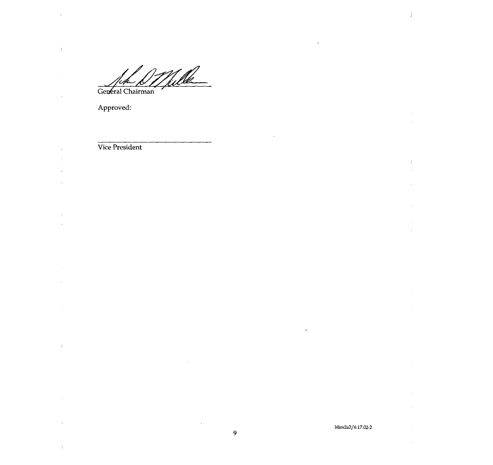Ulle General Chairman

Approved:

 $\ddot{\phantom{a}}$ 

 $\bar{1}$ 

 $\hat{\mathcal{A}}$ 

 $\overline{\phantom{a}}$ 

 $\hat{\mathbf{r}}$  $\frac{1}{4}$ 

> $\bar{1}$  $\mathbf{r}$

 $\pm$ 

 $\frac{1}{4}$  $\mathcal{L}$ 

 $\sim$ 

 $\bar{z}$ 

 $\sim$ 

 $\hat{I}$ 

 $\bar{z}$ 

 $\bar{1}$ 

 $\frac{1}{2}$ 

Vice President

# blim2a2/6.17.02-2

 $\overline{1}$ 

 $\ddot{\phantom{a}}$ 

 $\bar{z}$ 

 $\cdot$ 

 $\bar{V}$ 

 $\overline{a}$ 

 $\ddot{\phantom{a}}$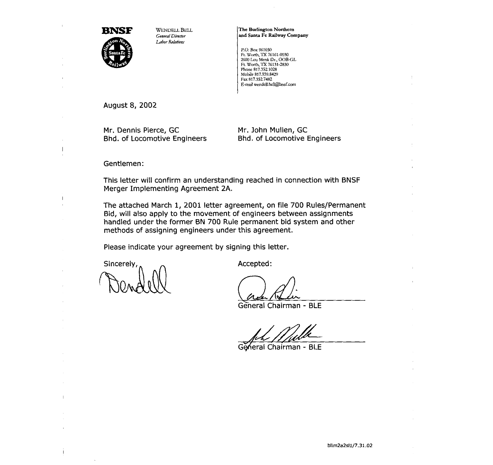

General Director Labor Relations

The Burlington Northern and Santa Fe Railway Company

P.O. Box 961030 Ft. Worth, TX 76161-0030 <sup>2600</sup> Lou Merik Ut., 008-CL Ft. Worth, TX 76131-2830 Phone 817.352.1028 Mobile 817.939.8429 Fax 817.352.7482 E-mail weodcll.bell@bnsf.com

August 8, 2002

Mr. Dennis Pierce, GC Bhd. of Locomotive Engineers Mr. John Mullen, GC Bhd. of Locomotive Engineers

Gentlemen:

This letter will confirm an understanding reached in connection with BNSF Merger Implementing Agreement 2A.

The attached March 1, 2001 letter agreement, on file 700 Rules/Permanent Bid, will also apply to the movement of engineers between assignments handled under the former BN 700 Rule permanent bid system and other methods of assigning engineers under this agreement.

Please indicate your agreement by signing this letter.

Sincerely,  $\sim$ 

 $\alpha$ 

 $\|$ 

Ť

General Chairman - BLE

 $\overline{A}$ 

General Chairman - BLE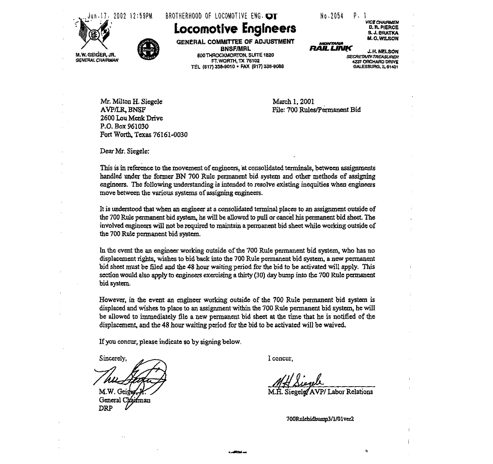



# Locomotive Engineers

GENERAL COMMITTEE OF ADJUSTMENT BNSF/MRL<br>Briggenal b 500ThR0CXMORTON, SUiTE 1820 FT.WORTH,TX 76102 TEL (811) 338-9010 • FAX (817) 338-9088

| No <sub>2054</sub> |     |
|--------------------|-----|
|                    | . . |

**ARTHVIOLALA** RAIL LINK VICE CHAIRMEN D. B. PIERCE S.. J. GRATKA M. 0. Wfl.SON

.1. K.NELSON SECRETARY TREASURER 4237 ORCHARD DRIVE GALESBURG, 1L 61401

Mr. Milton H. Siegele AVPILR, BNSF 2600 Lou Menk Drive P.O. Box 961030 Fort Worth, Texas 76161-0030 March 1,2001 File: 700 Rules/Permanent Bid

Dear Mr. Siegele:

This is in reference to the movement of engineers, at consolidated terminals, between assignments bandied wider the fotmer BN 700 Rule permanent bid system and other methods of assigning engineers. The following understanding is intended to resolve existing inequities when engineers move between the various systems of assigning engineers.

It is understood that when an engineer at a consolidated tenninal places to an assignment outside of the 700 Rule permanent bid system, he will be allowed to pull or cancel his permanent bid sheet. The involved engineers will not be required to maintain a permanent bid sheet while working outside of the 700 Rule permanent bid system.

In the event the an engineer working outside of the 700 Rule permanent bid system, who has no displacement rights, wishes to bid back into the 700 Rule permanent bid system, a new permanent bid sheet must be filed and the 48 hour waiting period for the bid to be activated will apply. This section would also apply to engineers exercising a thirty (30) day bump into the 7Q0 Rule permanent bid system.

However, in the event an engineer working outside of the 700 Rule pennanent bid system is displaced and wishes to plaee to an assignment within the 700 Rule permanent bid system, he will be allowed to immediately file a new permanent bid sheet at the time that he is notified of the displacement, and the 48 hour waiting period for the bid to be activated will be waived.

.a~ -

If you concur, please indicate so by signing below.

Sincerely, M.W. Geige General Chairman **DRP** 

I concur,

Siegele AVP/Labor Relations

700Rulebidbunnp3/1/01ver2

 $\mathbf{k}$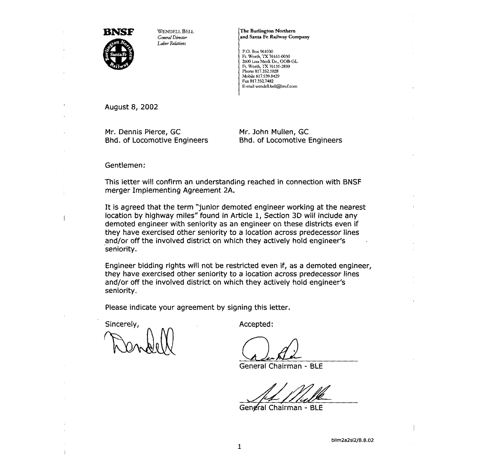

WENDELL BELL General Director Labor Relations

The Burlington Northern and Santa Fe Railway Company

P.O. Box 961030 Pt. Worth, TX 76161-0030 <sup>2600</sup> Lou Menk Dr., OOB-GL Ft. Worth, TX 76l3l~2830 Phone 817.3521028 Mobile 817.939.8429 Fax 817.352.7482 E-tmiil wendell.bdll@bnsf.eom

August 8, 2002

Mr. Dennis Pierce, GC<br>Bhd. of Locomotive Engineers

Mr. John Mullen, GC Bhd. of Locomotive Engineers

Gentlemen:

This letter will confirm an understanding reached in connection with BNSF merger Implementing Agreement 2k

It is agreed that the term "junior demoted engineer working at the nearest location by highway miles" found in Article 1, Section 30 will include any demoted engineer with seniority as an engineer on these districts even if they have exercised other seniority to a location across predecessor lines and/or off the involved district on which they actively hold engineer's seniority.

Engineer bidding rights will not be restricted even if, as <sup>a</sup> demoted engineer, they have exercised other seniority to a location across predecessor lines and/or off the involved district on which they actively hold engineer's seniority.

Please indicate your agreement by signing this letter.

Sincerely,

Accepted:

General Chairman - BLE

Gengral Chairman - BLE

blim2a2sl2/8.8.02